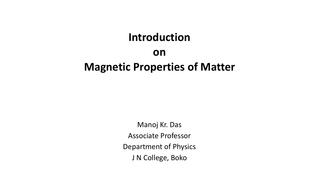#### **Introduction**

#### **on Magnetic Properties of Matter**

Manoj Kr. Das Associate Professor Department of Physics J N College, Boko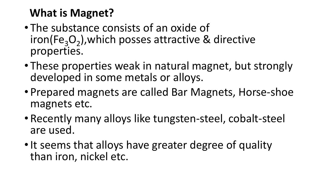## **What is Magnet?**

- The substance consists of an oxide of iron(Fe<sub>3</sub>O<sub>2</sub>), which posses attractive & directive properties.
- These properties weak in natural magnet, but strongly developed in some metals or alloys.
- Prepared magnets are called Bar Magnets, Horse-shoe magnets etc.
- Recently many alloys like tungsten-steel, cobalt-steel are used.
- It seems that alloys have greater degree of quality than iron, nickel etc.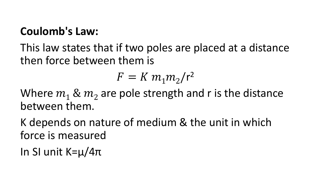### **Coulomb's Law:**

This law states that if two poles are placed at a distance then force between them is

$$
F = K m_1 m_2/r^2
$$

Where  $m_1 \& m_2$  are pole strength and r is the distance between them.

K depends on nature of medium & the unit in which force is measured

In SI unit K=µ/4π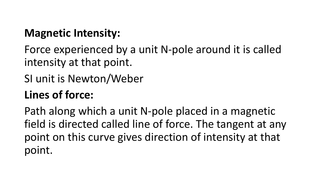## **Magnetic Intensity:**

Force experienced by a unit N-pole around it is called intensity at that point.

SI unit is Newton/Weber

# **Lines of force:**

Path along which a unit N-pole placed in a magnetic field is directed called line of force. The tangent at any point on this curve gives direction of intensity at that point.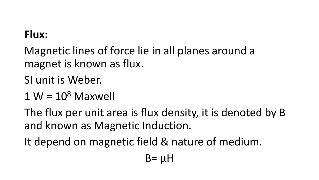#### **Flux:**

Magnetic lines of force lie in all planes around a magnet is known as flux.

SI unit is Weber.

 $1 W = 10<sup>8</sup>$  Maxwell

The flux per unit area is flux density, it is denoted by B and known as Magnetic Induction.

It depend on magnetic field & nature of medium.

 $B = \mu H$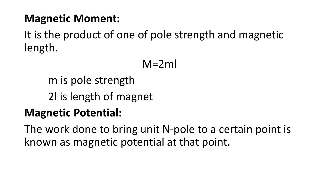#### **Magnetic Moment:**

It is the product of one of pole strength and magnetic length.

 $M=2ml$ 

m is pole strength

2l is length of magnet

### **Magnetic Potential:**

The work done to bring unit N-pole to a certain point is known as magnetic potential at that point.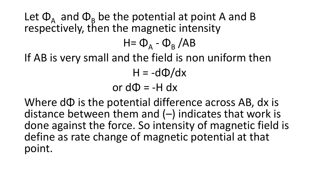Let  $\Phi_A$  and  $\Phi_B$  be the potential at point A and B respectively, then the magnetic intensity

H=  $\Phi$ <sub>A</sub> -  $\Phi$ <sub>B</sub> /AB

If AB is very small and the field is non uniform then

 $H = -d\Phi/dx$ 

or  $d\Phi = -H dx$ 

Where dΦ is the potential difference across AB, dx is distance between them and (–) indicates that work is done against the force. So intensity of magnetic field is define as rate change of magnetic potential at that point.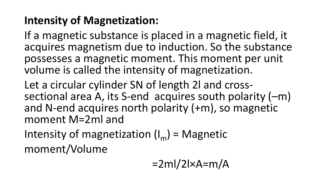# **Intensity of Magnetization:**

If a magnetic substance is placed in a magnetic field, it acquires magnetism due to induction. So the substance possesses a magnetic moment. This moment per unit volume is called the intensity of magnetization.

Let a circular cylinder SN of length 2l and crosssectional area A, its S-end acquires south polarity (–m) and N-end acquires north polarity (+m), so magnetic moment M=2ml and

Intensity of magnetization  $(I_m)$  = Magnetic moment/Volume

$$
=2ml/2lxA=m/A
$$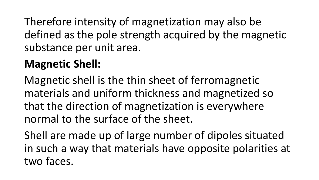Therefore intensity of magnetization may also be defined as the pole strength acquired by the magnetic substance per unit area.

# **Magnetic Shell:**

Magnetic shell is the thin sheet of ferromagnetic materials and uniform thickness and magnetized so that the direction of magnetization is everywhere normal to the surface of the sheet.

Shell are made up of large number of dipoles situated in such a way that materials have opposite polarities at two faces.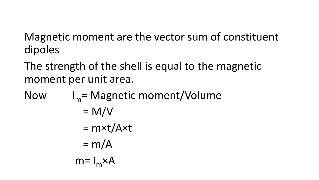Magnetic moment are the vector sum of constituent dipoles

The strength of the shell is equal to the magnetic moment per unit area.

Now  $I_m$ = Magnetic moment/Volume

$$
= M/V
$$
  
= m \times t/A \times t  
= m/A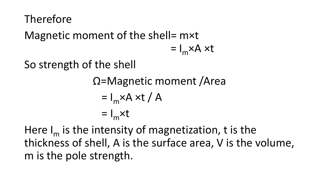### Therefore

Magnetic moment of the shell= m×t

$$
= I_{m} \times A \times t
$$

So strength of the shell

Ω=Magnetic moment /Area

$$
= I_m \times A \times t / A
$$
  
=  $I_m \times t$ 

Here  $I_m$  is the intensity of magnetization, t is the thickness of shell, A is the surface area, V is the volume, m is the pole strength.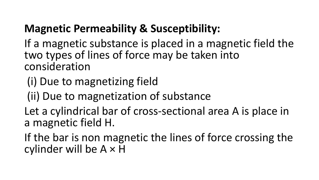## **Magnetic Permeability & Susceptibility:**

If a magnetic substance is placed in a magnetic field the two types of lines of force may be taken into consideration

- (i) Due to magnetizing field
- (ii) Due to magnetization of substance
- Let a cylindrical bar of cross-sectional area A is place in a magnetic field H.
- If the bar is non magnetic the lines of force crossing the cylinder will be  $A \times H$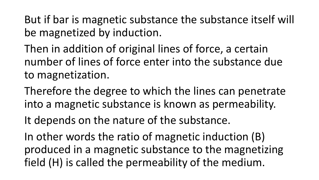But if bar is magnetic substance the substance itself will be magnetized by induction.

Then in addition of original lines of force, a certain number of lines of force enter into the substance due to magnetization.

Therefore the degree to which the lines can penetrate into a magnetic substance is known as permeability.

It depends on the nature of the substance.

In other words the ratio of magnetic induction (B) produced in a magnetic substance to the magnetizing field (H) is called the permeability of the medium.